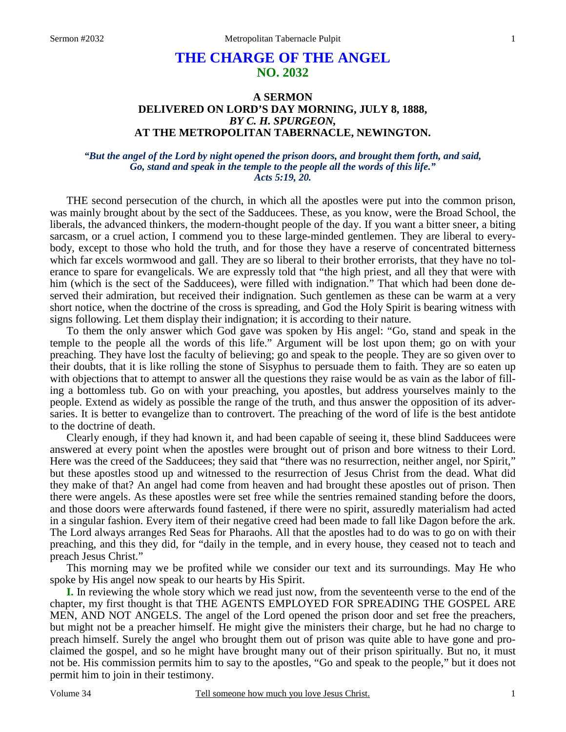# **THE CHARGE OF THE ANGEL NO. 2032**

# **A SERMON DELIVERED ON LORD'S DAY MORNING, JULY 8, 1888,**  *BY C. H. SPURGEON,*  **AT THE METROPOLITAN TABERNACLE, NEWINGTON.**

### *"But the angel of the Lord by night opened the prison doors, and brought them forth, and said, Go, stand and speak in the temple to the people all the words of this life." Acts 5:19, 20.*

THE second persecution of the church, in which all the apostles were put into the common prison, was mainly brought about by the sect of the Sadducees. These, as you know, were the Broad School, the liberals, the advanced thinkers, the modern-thought people of the day. If you want a bitter sneer, a biting sarcasm, or a cruel action, I commend you to these large-minded gentlemen. They are liberal to everybody, except to those who hold the truth, and for those they have a reserve of concentrated bitterness which far excels wormwood and gall. They are so liberal to their brother errorists, that they have no tolerance to spare for evangelicals. We are expressly told that "the high priest, and all they that were with him (which is the sect of the Sadducees), were filled with indignation." That which had been done deserved their admiration, but received their indignation. Such gentlemen as these can be warm at a very short notice, when the doctrine of the cross is spreading, and God the Holy Spirit is bearing witness with signs following. Let them display their indignation; it is according to their nature.

To them the only answer which God gave was spoken by His angel: "Go, stand and speak in the temple to the people all the words of this life." Argument will be lost upon them; go on with your preaching. They have lost the faculty of believing; go and speak to the people. They are so given over to their doubts, that it is like rolling the stone of Sisyphus to persuade them to faith. They are so eaten up with objections that to attempt to answer all the questions they raise would be as vain as the labor of filling a bottomless tub. Go on with your preaching, you apostles, but address yourselves mainly to the people. Extend as widely as possible the range of the truth, and thus answer the opposition of its adversaries. It is better to evangelize than to controvert. The preaching of the word of life is the best antidote to the doctrine of death.

Clearly enough, if they had known it, and had been capable of seeing it, these blind Sadducees were answered at every point when the apostles were brought out of prison and bore witness to their Lord. Here was the creed of the Sadducees; they said that "there was no resurrection, neither angel, nor Spirit," but these apostles stood up and witnessed to the resurrection of Jesus Christ from the dead. What did they make of that? An angel had come from heaven and had brought these apostles out of prison. Then there were angels. As these apostles were set free while the sentries remained standing before the doors, and those doors were afterwards found fastened, if there were no spirit, assuredly materialism had acted in a singular fashion. Every item of their negative creed had been made to fall like Dagon before the ark. The Lord always arranges Red Seas for Pharaohs. All that the apostles had to do was to go on with their preaching, and this they did, for "daily in the temple, and in every house, they ceased not to teach and preach Jesus Christ."

This morning may we be profited while we consider our text and its surroundings. May He who spoke by His angel now speak to our hearts by His Spirit.

**I.** In reviewing the whole story which we read just now, from the seventeenth verse to the end of the chapter, my first thought is that THE AGENTS EMPLOYED FOR SPREADING THE GOSPEL ARE MEN, AND NOT ANGELS. The angel of the Lord opened the prison door and set free the preachers, but might not be a preacher himself. He might give the ministers their charge, but he had no charge to preach himself. Surely the angel who brought them out of prison was quite able to have gone and proclaimed the gospel, and so he might have brought many out of their prison spiritually. But no, it must not be. His commission permits him to say to the apostles, "Go and speak to the people," but it does not permit him to join in their testimony.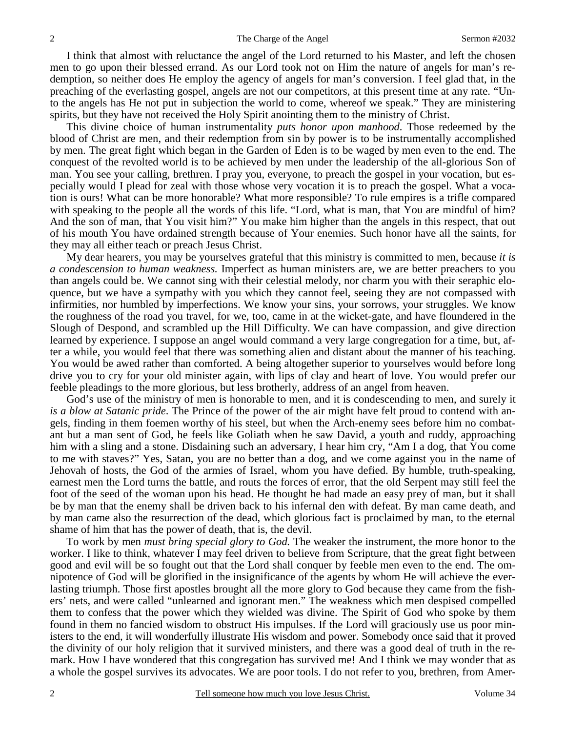I think that almost with reluctance the angel of the Lord returned to his Master, and left the chosen men to go upon their blessed errand. As our Lord took not on Him the nature of angels for man's redemption, so neither does He employ the agency of angels for man's conversion. I feel glad that, in the preaching of the everlasting gospel, angels are not our competitors, at this present time at any rate. "Unto the angels has He not put in subjection the world to come, whereof we speak." They are ministering spirits, but they have not received the Holy Spirit anointing them to the ministry of Christ.

This divine choice of human instrumentality *puts honor upon manhood*. Those redeemed by the blood of Christ are men, and their redemption from sin by power is to be instrumentally accomplished by men. The great fight which began in the Garden of Eden is to be waged by men even to the end. The conquest of the revolted world is to be achieved by men under the leadership of the all-glorious Son of man. You see your calling, brethren. I pray you, everyone, to preach the gospel in your vocation, but especially would I plead for zeal with those whose very vocation it is to preach the gospel. What a vocation is ours! What can be more honorable? What more responsible? To rule empires is a trifle compared with speaking to the people all the words of this life. "Lord, what is man, that You are mindful of him? And the son of man, that You visit him?" You make him higher than the angels in this respect, that out of his mouth You have ordained strength because of Your enemies. Such honor have all the saints, for they may all either teach or preach Jesus Christ.

My dear hearers, you may be yourselves grateful that this ministry is committed to men, because *it is a condescension to human weakness.* Imperfect as human ministers are, we are better preachers to you than angels could be. We cannot sing with their celestial melody, nor charm you with their seraphic eloquence, but we have a sympathy with you which they cannot feel, seeing they are not compassed with infirmities, nor humbled by imperfections. We know your sins, your sorrows, your struggles. We know the roughness of the road you travel, for we, too, came in at the wicket-gate, and have floundered in the Slough of Despond, and scrambled up the Hill Difficulty. We can have compassion, and give direction learned by experience. I suppose an angel would command a very large congregation for a time, but, after a while, you would feel that there was something alien and distant about the manner of his teaching. You would be awed rather than comforted. A being altogether superior to yourselves would before long drive you to cry for your old minister again, with lips of clay and heart of love. You would prefer our feeble pleadings to the more glorious, but less brotherly, address of an angel from heaven.

God's use of the ministry of men is honorable to men, and it is condescending to men, and surely it *is a blow at Satanic pride*. The Prince of the power of the air might have felt proud to contend with angels, finding in them foemen worthy of his steel, but when the Arch-enemy sees before him no combatant but a man sent of God, he feels like Goliath when he saw David, a youth and ruddy, approaching him with a sling and a stone. Disdaining such an adversary, I hear him cry, "Am I a dog, that You come to me with staves?" Yes, Satan, you are no better than a dog, and we come against you in the name of Jehovah of hosts, the God of the armies of Israel, whom you have defied. By humble, truth-speaking, earnest men the Lord turns the battle, and routs the forces of error, that the old Serpent may still feel the foot of the seed of the woman upon his head. He thought he had made an easy prey of man, but it shall be by man that the enemy shall be driven back to his infernal den with defeat. By man came death, and by man came also the resurrection of the dead, which glorious fact is proclaimed by man, to the eternal shame of him that has the power of death, that is, the devil.

To work by men *must bring special glory to God.* The weaker the instrument, the more honor to the worker. I like to think, whatever I may feel driven to believe from Scripture, that the great fight between good and evil will be so fought out that the Lord shall conquer by feeble men even to the end. The omnipotence of God will be glorified in the insignificance of the agents by whom He will achieve the everlasting triumph. Those first apostles brought all the more glory to God because they came from the fishers' nets, and were called "unlearned and ignorant men." The weakness which men despised compelled them to confess that the power which they wielded was divine. The Spirit of God who spoke by them found in them no fancied wisdom to obstruct His impulses. If the Lord will graciously use us poor ministers to the end, it will wonderfully illustrate His wisdom and power. Somebody once said that it proved the divinity of our holy religion that it survived ministers, and there was a good deal of truth in the remark. How I have wondered that this congregation has survived me! And I think we may wonder that as a whole the gospel survives its advocates. We are poor tools. I do not refer to you, brethren, from Amer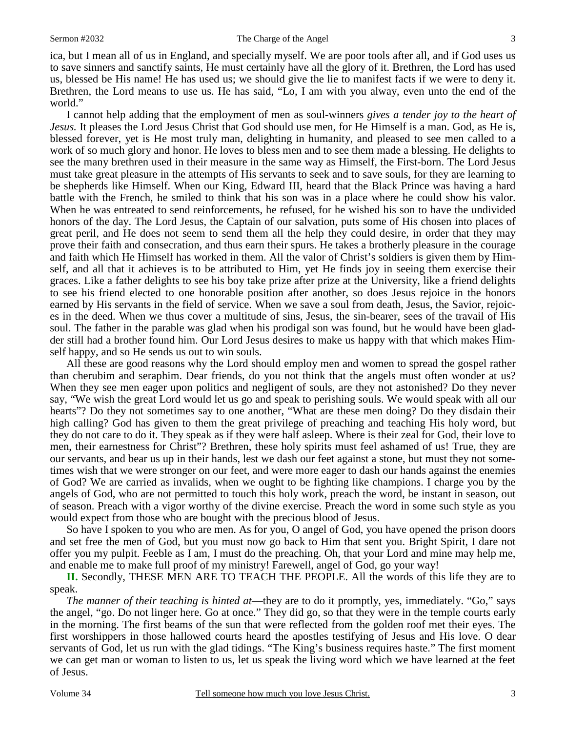ica, but I mean all of us in England, and specially myself. We are poor tools after all, and if God uses us to save sinners and sanctify saints, He must certainly have all the glory of it. Brethren, the Lord has used us, blessed be His name! He has used us; we should give the lie to manifest facts if we were to deny it. Brethren, the Lord means to use us. He has said, "Lo, I am with you alway, even unto the end of the world."

I cannot help adding that the employment of men as soul-winners *gives a tender joy to the heart of Jesus.* It pleases the Lord Jesus Christ that God should use men, for He Himself is a man. God, as He is, blessed forever, yet is He most truly man, delighting in humanity, and pleased to see men called to a work of so much glory and honor. He loves to bless men and to see them made a blessing. He delights to see the many brethren used in their measure in the same way as Himself, the First-born. The Lord Jesus must take great pleasure in the attempts of His servants to seek and to save souls, for they are learning to be shepherds like Himself. When our King, Edward III, heard that the Black Prince was having a hard battle with the French, he smiled to think that his son was in a place where he could show his valor. When he was entreated to send reinforcements, he refused, for he wished his son to have the undivided honors of the day. The Lord Jesus, the Captain of our salvation, puts some of His chosen into places of great peril, and He does not seem to send them all the help they could desire, in order that they may prove their faith and consecration, and thus earn their spurs. He takes a brotherly pleasure in the courage and faith which He Himself has worked in them. All the valor of Christ's soldiers is given them by Himself, and all that it achieves is to be attributed to Him, yet He finds joy in seeing them exercise their graces. Like a father delights to see his boy take prize after prize at the University, like a friend delights to see his friend elected to one honorable position after another, so does Jesus rejoice in the honors earned by His servants in the field of service. When we save a soul from death, Jesus, the Savior, rejoices in the deed. When we thus cover a multitude of sins, Jesus, the sin-bearer, sees of the travail of His soul. The father in the parable was glad when his prodigal son was found, but he would have been gladder still had a brother found him. Our Lord Jesus desires to make us happy with that which makes Himself happy, and so He sends us out to win souls.

All these are good reasons why the Lord should employ men and women to spread the gospel rather than cherubim and seraphim. Dear friends, do you not think that the angels must often wonder at us? When they see men eager upon politics and negligent of souls, are they not astonished? Do they never say, "We wish the great Lord would let us go and speak to perishing souls. We would speak with all our hearts"? Do they not sometimes say to one another, "What are these men doing? Do they disdain their high calling? God has given to them the great privilege of preaching and teaching His holy word, but they do not care to do it. They speak as if they were half asleep. Where is their zeal for God, their love to men, their earnestness for Christ"? Brethren, these holy spirits must feel ashamed of us! True, they are our servants, and bear us up in their hands, lest we dash our feet against a stone, but must they not sometimes wish that we were stronger on our feet, and were more eager to dash our hands against the enemies of God? We are carried as invalids, when we ought to be fighting like champions. I charge you by the angels of God, who are not permitted to touch this holy work, preach the word, be instant in season, out of season. Preach with a vigor worthy of the divine exercise. Preach the word in some such style as you would expect from those who are bought with the precious blood of Jesus.

So have I spoken to you who are men. As for you, O angel of God, you have opened the prison doors and set free the men of God, but you must now go back to Him that sent you. Bright Spirit, I dare not offer you my pulpit. Feeble as I am, I must do the preaching. Oh, that your Lord and mine may help me, and enable me to make full proof of my ministry! Farewell, angel of God, go your way!

**II.** Secondly, THESE MEN ARE TO TEACH THE PEOPLE. All the words of this life they are to speak.

*The manner of their teaching is hinted at*—they are to do it promptly, yes, immediately. "Go," says the angel, "go. Do not linger here. Go at once." They did go, so that they were in the temple courts early in the morning. The first beams of the sun that were reflected from the golden roof met their eyes. The first worshippers in those hallowed courts heard the apostles testifying of Jesus and His love. O dear servants of God, let us run with the glad tidings. "The King's business requires haste." The first moment we can get man or woman to listen to us, let us speak the living word which we have learned at the feet of Jesus.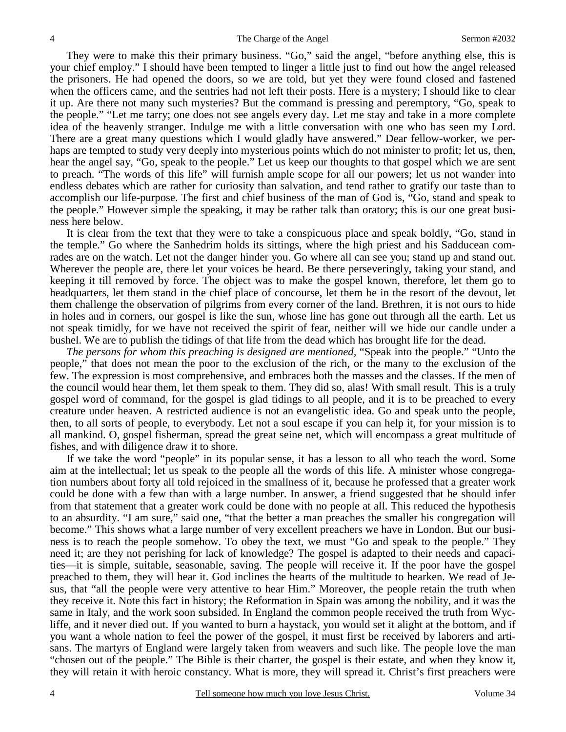They were to make this their primary business. "Go," said the angel, "before anything else, this is your chief employ." I should have been tempted to linger a little just to find out how the angel released the prisoners. He had opened the doors, so we are told, but yet they were found closed and fastened when the officers came, and the sentries had not left their posts. Here is a mystery; I should like to clear it up. Are there not many such mysteries? But the command is pressing and peremptory, "Go, speak to the people." "Let me tarry; one does not see angels every day. Let me stay and take in a more complete idea of the heavenly stranger. Indulge me with a little conversation with one who has seen my Lord. There are a great many questions which I would gladly have answered." Dear fellow-worker, we perhaps are tempted to study very deeply into mysterious points which do not minister to profit; let us, then, hear the angel say, "Go, speak to the people." Let us keep our thoughts to that gospel which we are sent to preach. "The words of this life" will furnish ample scope for all our powers; let us not wander into endless debates which are rather for curiosity than salvation, and tend rather to gratify our taste than to accomplish our life-purpose. The first and chief business of the man of God is, "Go, stand and speak to the people." However simple the speaking, it may be rather talk than oratory; this is our one great business here below.

It is clear from the text that they were to take a conspicuous place and speak boldly, "Go, stand in the temple." Go where the Sanhedrim holds its sittings, where the high priest and his Sadducean comrades are on the watch. Let not the danger hinder you. Go where all can see you; stand up and stand out. Wherever the people are, there let your voices be heard. Be there perseveringly, taking your stand, and keeping it till removed by force. The object was to make the gospel known, therefore, let them go to headquarters, let them stand in the chief place of concourse, let them be in the resort of the devout, let them challenge the observation of pilgrims from every corner of the land. Brethren, it is not ours to hide in holes and in corners, our gospel is like the sun, whose line has gone out through all the earth. Let us not speak timidly, for we have not received the spirit of fear, neither will we hide our candle under a bushel. We are to publish the tidings of that life from the dead which has brought life for the dead.

*The persons for whom this preaching is designed are mentioned,* "Speak into the people." "Unto the people," that does not mean the poor to the exclusion of the rich, or the many to the exclusion of the few. The expression is most comprehensive, and embraces both the masses and the classes. If the men of the council would hear them, let them speak to them. They did so, alas! With small result. This is a truly gospel word of command, for the gospel is glad tidings to all people, and it is to be preached to every creature under heaven. A restricted audience is not an evangelistic idea. Go and speak unto the people, then, to all sorts of people, to everybody. Let not a soul escape if you can help it, for your mission is to all mankind. O, gospel fisherman, spread the great seine net, which will encompass a great multitude of fishes, and with diligence draw it to shore.

If we take the word "people" in its popular sense, it has a lesson to all who teach the word. Some aim at the intellectual; let us speak to the people all the words of this life. A minister whose congregation numbers about forty all told rejoiced in the smallness of it, because he professed that a greater work could be done with a few than with a large number. In answer, a friend suggested that he should infer from that statement that a greater work could be done with no people at all. This reduced the hypothesis to an absurdity. "I am sure," said one, "that the better a man preaches the smaller his congregation will become." This shows what a large number of very excellent preachers we have in London. But our business is to reach the people somehow. To obey the text, we must "Go and speak to the people." They need it; are they not perishing for lack of knowledge? The gospel is adapted to their needs and capacities—it is simple, suitable, seasonable, saving. The people will receive it. If the poor have the gospel preached to them, they will hear it. God inclines the hearts of the multitude to hearken. We read of Jesus, that "all the people were very attentive to hear Him." Moreover, the people retain the truth when they receive it. Note this fact in history; the Reformation in Spain was among the nobility, and it was the same in Italy, and the work soon subsided. In England the common people received the truth from Wycliffe, and it never died out. If you wanted to burn a haystack, you would set it alight at the bottom, and if you want a whole nation to feel the power of the gospel, it must first be received by laborers and artisans. The martyrs of England were largely taken from weavers and such like. The people love the man "chosen out of the people." The Bible is their charter, the gospel is their estate, and when they know it, they will retain it with heroic constancy. What is more, they will spread it. Christ's first preachers were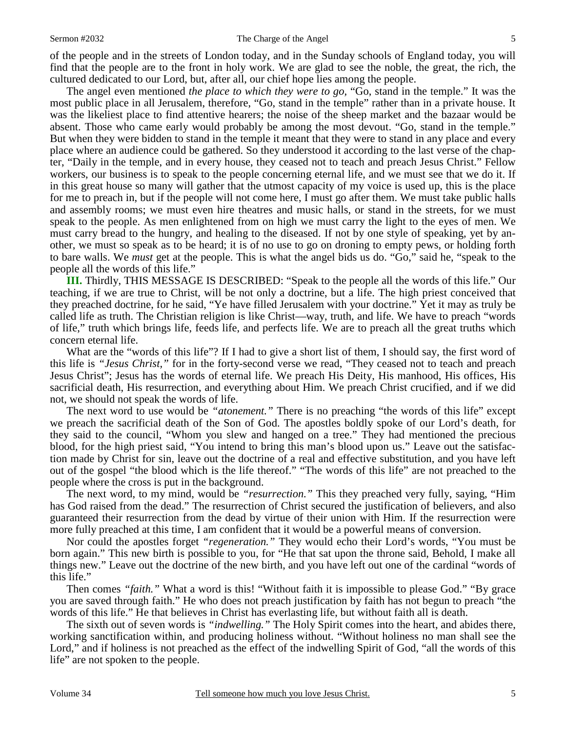#### Sermon #2032 The Charge of the Angel

5

of the people and in the streets of London today, and in the Sunday schools of England today, you will find that the people are to the front in holy work. We are glad to see the noble, the great, the rich, the cultured dedicated to our Lord, but, after all, our chief hope lies among the people.

The angel even mentioned *the place to which they were to go,* "Go, stand in the temple." It was the most public place in all Jerusalem, therefore, "Go, stand in the temple" rather than in a private house. It was the likeliest place to find attentive hearers; the noise of the sheep market and the bazaar would be absent. Those who came early would probably be among the most devout. "Go, stand in the temple." But when they were bidden to stand in the temple it meant that they were to stand in any place and every place where an audience could be gathered. So they understood it according to the last verse of the chapter, "Daily in the temple, and in every house, they ceased not to teach and preach Jesus Christ." Fellow workers, our business is to speak to the people concerning eternal life, and we must see that we do it. If in this great house so many will gather that the utmost capacity of my voice is used up, this is the place for me to preach in, but if the people will not come here, I must go after them. We must take public halls and assembly rooms; we must even hire theatres and music halls, or stand in the streets, for we must speak to the people. As men enlightened from on high we must carry the light to the eyes of men. We must carry bread to the hungry, and healing to the diseased. If not by one style of speaking, yet by another, we must so speak as to be heard; it is of no use to go on droning to empty pews, or holding forth to bare walls. We *must* get at the people. This is what the angel bids us do. "Go," said he, "speak to the people all the words of this life."

**III.** Thirdly, THIS MESSAGE IS DESCRIBED: "Speak to the people all the words of this life." Our teaching, if we are true to Christ, will be not only a doctrine, but a life. The high priest conceived that they preached doctrine, for he said, "Ye have filled Jerusalem with your doctrine." Yet it may as truly be called life as truth. The Christian religion is like Christ—way, truth, and life. We have to preach "words of life," truth which brings life, feeds life, and perfects life. We are to preach all the great truths which concern eternal life.

What are the "words of this life"? If I had to give a short list of them, I should say, the first word of this life is *"Jesus Christ,"* for in the forty-second verse we read, "They ceased not to teach and preach Jesus Christ"; Jesus has the words of eternal life. We preach His Deity, His manhood, His offices, His sacrificial death, His resurrection, and everything about Him. We preach Christ crucified, and if we did not, we should not speak the words of life.

The next word to use would be *"atonement."* There is no preaching "the words of this life" except we preach the sacrificial death of the Son of God. The apostles boldly spoke of our Lord's death, for they said to the council, "Whom you slew and hanged on a tree." They had mentioned the precious blood, for the high priest said, "You intend to bring this man's blood upon us." Leave out the satisfaction made by Christ for sin, leave out the doctrine of a real and effective substitution, and you have left out of the gospel "the blood which is the life thereof." "The words of this life" are not preached to the people where the cross is put in the background.

The next word, to my mind, would be *"resurrection."* This they preached very fully, saying, "Him has God raised from the dead." The resurrection of Christ secured the justification of believers, and also guaranteed their resurrection from the dead by virtue of their union with Him. If the resurrection were more fully preached at this time, I am confident that it would be a powerful means of conversion.

Nor could the apostles forget *"regeneration."* They would echo their Lord's words, "You must be born again." This new birth is possible to you, for "He that sat upon the throne said, Behold, I make all things new." Leave out the doctrine of the new birth, and you have left out one of the cardinal "words of this life."

Then comes *"faith."* What a word is this! "Without faith it is impossible to please God." "By grace you are saved through faith." He who does not preach justification by faith has not begun to preach "the words of this life." He that believes in Christ has everlasting life, but without faith all is death.

The sixth out of seven words is *"indwelling."* The Holy Spirit comes into the heart, and abides there, working sanctification within, and producing holiness without. "Without holiness no man shall see the Lord," and if holiness is not preached as the effect of the indwelling Spirit of God, "all the words of this life" are not spoken to the people.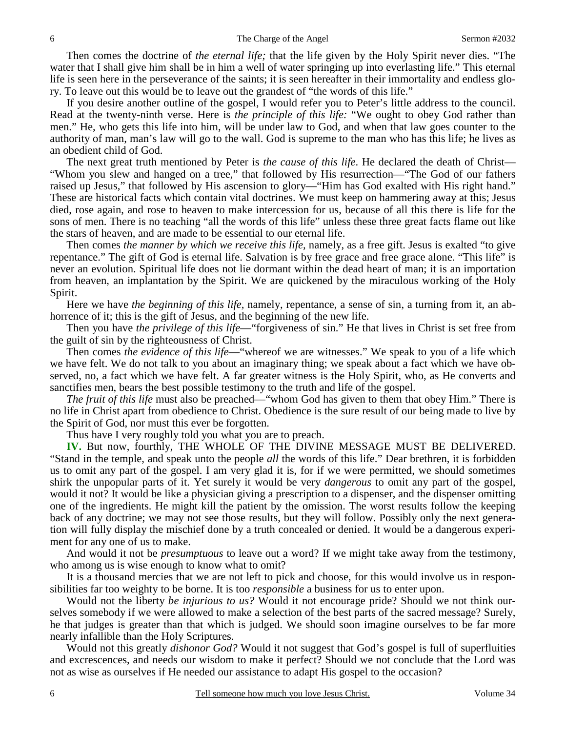Then comes the doctrine of *the eternal life;* that the life given by the Holy Spirit never dies. "The water that I shall give him shall be in him a well of water springing up into everlasting life." This eternal life is seen here in the perseverance of the saints; it is seen hereafter in their immortality and endless glory. To leave out this would be to leave out the grandest of "the words of this life."

If you desire another outline of the gospel, I would refer you to Peter's little address to the council. Read at the twenty-ninth verse. Here is *the principle of this life:* "We ought to obey God rather than men." He, who gets this life into him, will be under law to God, and when that law goes counter to the authority of man, man's law will go to the wall. God is supreme to the man who has this life; he lives as an obedient child of God.

The next great truth mentioned by Peter is *the cause of this life*. He declared the death of Christ— "Whom you slew and hanged on a tree," that followed by His resurrection—"The God of our fathers raised up Jesus," that followed by His ascension to glory—"Him has God exalted with His right hand." These are historical facts which contain vital doctrines. We must keep on hammering away at this; Jesus died, rose again, and rose to heaven to make intercession for us, because of all this there is life for the sons of men. There is no teaching "all the words of this life" unless these three great facts flame out like the stars of heaven, and are made to be essential to our eternal life.

Then comes *the manner by which we receive this life,* namely, as a free gift. Jesus is exalted "to give repentance." The gift of God is eternal life. Salvation is by free grace and free grace alone. "This life" is never an evolution. Spiritual life does not lie dormant within the dead heart of man; it is an importation from heaven, an implantation by the Spirit. We are quickened by the miraculous working of the Holy Spirit.

Here we have *the beginning of this life,* namely, repentance, a sense of sin, a turning from it, an abhorrence of it; this is the gift of Jesus, and the beginning of the new life.

Then you have *the privilege of this life*—"forgiveness of sin." He that lives in Christ is set free from the guilt of sin by the righteousness of Christ.

Then comes *the evidence of this life*—"whereof we are witnesses." We speak to you of a life which we have felt. We do not talk to you about an imaginary thing; we speak about a fact which we have observed, no, a fact which we have felt. A far greater witness is the Holy Spirit, who, as He converts and sanctifies men, bears the best possible testimony to the truth and life of the gospel.

*The fruit of this life* must also be preached—"whom God has given to them that obey Him." There is no life in Christ apart from obedience to Christ. Obedience is the sure result of our being made to live by the Spirit of God, nor must this ever be forgotten.

Thus have I very roughly told you what you are to preach.

**IV.** But now, fourthly, THE WHOLE OF THE DIVINE MESSAGE MUST BE DELIVERED. "Stand in the temple, and speak unto the people *all* the words of this life." Dear brethren, it is forbidden us to omit any part of the gospel. I am very glad it is, for if we were permitted, we should sometimes shirk the unpopular parts of it. Yet surely it would be very *dangerous* to omit any part of the gospel, would it not? It would be like a physician giving a prescription to a dispenser, and the dispenser omitting one of the ingredients. He might kill the patient by the omission. The worst results follow the keeping back of any doctrine; we may not see those results, but they will follow. Possibly only the next generation will fully display the mischief done by a truth concealed or denied. It would be a dangerous experiment for any one of us to make.

And would it not be *presumptuous* to leave out a word? If we might take away from the testimony, who among us is wise enough to know what to omit?

It is a thousand mercies that we are not left to pick and choose, for this would involve us in responsibilities far too weighty to be borne. It is too *responsible* a business for us to enter upon.

Would not the liberty *be injurious to us?* Would it not encourage pride? Should we not think ourselves somebody if we were allowed to make a selection of the best parts of the sacred message? Surely, he that judges is greater than that which is judged. We should soon imagine ourselves to be far more nearly infallible than the Holy Scriptures.

Would not this greatly *dishonor God?* Would it not suggest that God's gospel is full of superfluities and excrescences, and needs our wisdom to make it perfect? Should we not conclude that the Lord was not as wise as ourselves if He needed our assistance to adapt His gospel to the occasion?

6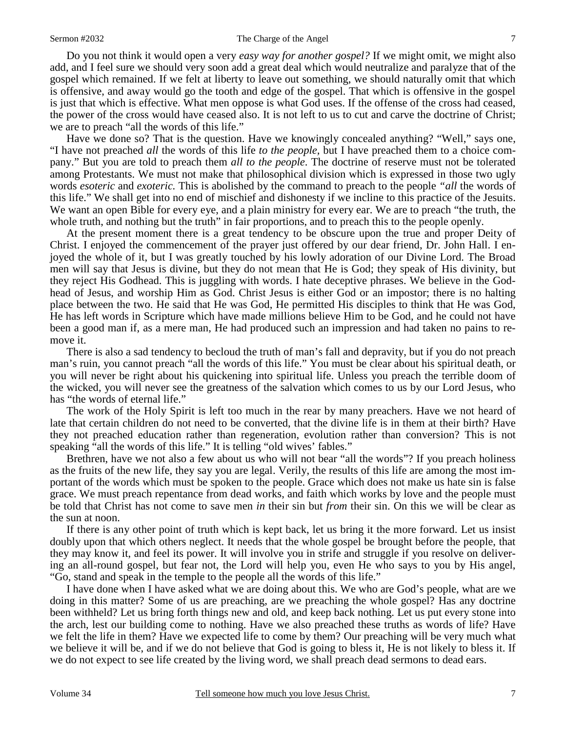Do you not think it would open a very *easy way for another gospel?* If we might omit, we might also add, and I feel sure we should very soon add a great deal which would neutralize and paralyze that of the gospel which remained. If we felt at liberty to leave out something, we should naturally omit that which is offensive, and away would go the tooth and edge of the gospel. That which is offensive in the gospel is just that which is effective. What men oppose is what God uses. If the offense of the cross had ceased, the power of the cross would have ceased also. It is not left to us to cut and carve the doctrine of Christ; we are to preach "all the words of this life."

Have we done so? That is the question. Have we knowingly concealed anything? "Well," says one, "I have not preached *all* the words of this life *to the people,* but I have preached them to a choice company." But you are told to preach them *all to the people*. The doctrine of reserve must not be tolerated among Protestants. We must not make that philosophical division which is expressed in those two ugly words *esoteric* and *exoteric.* This is abolished by the command to preach to the people *"all* the words of this life." We shall get into no end of mischief and dishonesty if we incline to this practice of the Jesuits. We want an open Bible for every eye, and a plain ministry for every ear. We are to preach "the truth, the whole truth, and nothing but the truth" in fair proportions, and to preach this to the people openly.

At the present moment there is a great tendency to be obscure upon the true and proper Deity of Christ. I enjoyed the commencement of the prayer just offered by our dear friend, Dr. John Hall. I enjoyed the whole of it, but I was greatly touched by his lowly adoration of our Divine Lord. The Broad men will say that Jesus is divine, but they do not mean that He is God; they speak of His divinity, but they reject His Godhead. This is juggling with words. I hate deceptive phrases. We believe in the Godhead of Jesus, and worship Him as God. Christ Jesus is either God or an impostor; there is no halting place between the two. He said that He was God, He permitted His disciples to think that He was God, He has left words in Scripture which have made millions believe Him to be God, and he could not have been a good man if, as a mere man, He had produced such an impression and had taken no pains to remove it.

There is also a sad tendency to becloud the truth of man's fall and depravity, but if you do not preach man's ruin, you cannot preach "all the words of this life." You must be clear about his spiritual death, or you will never be right about his quickening into spiritual life. Unless you preach the terrible doom of the wicked, you will never see the greatness of the salvation which comes to us by our Lord Jesus, who has "the words of eternal life."

The work of the Holy Spirit is left too much in the rear by many preachers. Have we not heard of late that certain children do not need to be converted, that the divine life is in them at their birth? Have they not preached education rather than regeneration, evolution rather than conversion? This is not speaking "all the words of this life." It is telling "old wives' fables."

Brethren, have we not also a few about us who will not bear "all the words"? If you preach holiness as the fruits of the new life, they say you are legal. Verily, the results of this life are among the most important of the words which must be spoken to the people. Grace which does not make us hate sin is false grace. We must preach repentance from dead works, and faith which works by love and the people must be told that Christ has not come to save men *in* their sin but *from* their sin. On this we will be clear as the sun at noon.

If there is any other point of truth which is kept back, let us bring it the more forward. Let us insist doubly upon that which others neglect. It needs that the whole gospel be brought before the people, that they may know it, and feel its power. It will involve you in strife and struggle if you resolve on delivering an all-round gospel, but fear not, the Lord will help you, even He who says to you by His angel, "Go, stand and speak in the temple to the people all the words of this life."

I have done when I have asked what we are doing about this. We who are God's people, what are we doing in this matter? Some of us are preaching, are we preaching the whole gospel? Has any doctrine been withheld? Let us bring forth things new and old, and keep back nothing. Let us put every stone into the arch, lest our building come to nothing. Have we also preached these truths as words of life? Have we felt the life in them? Have we expected life to come by them? Our preaching will be very much what we believe it will be, and if we do not believe that God is going to bless it, He is not likely to bless it. If we do not expect to see life created by the living word, we shall preach dead sermons to dead ears.

7